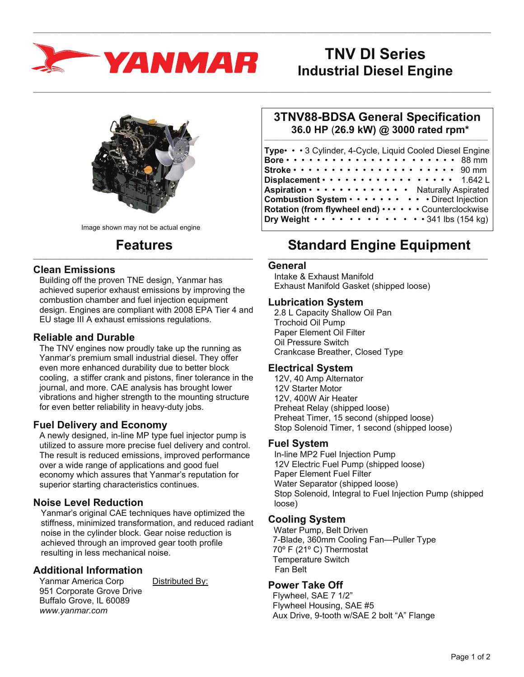

# **TNV DI Series Industrial Diesel Engine**



Image shown may not be actual engine

#### **Features**  $\_$  , and the set of the set of the set of the set of the set of the set of the set of the set of the set of the set of the set of the set of the set of the set of the set of the set of the set of the set of the set of th

#### **Clean Emissions**

Building off the proven TNE design, Yanmar has achieved superior exhaust emissions by improving the combustion chamber and fuel injection equipment design. Engines are compliant with 2008 EPA Tier 4 and EU stage III A exhaust emissions regulations.

### **Reliable and Durable**

The TNV engines now proudly take up the running as Yanmar's premium small industrial diesel. They offer even more enhanced durability due to better block cooling, a stiffer crank and pistons, finer tolerance in the journal, and more. CAE analysis has brought lower vibrations and higher strength to the mounting structure for even better reliability in heavy-duty jobs.

#### **Fuel Delivery and Economy**

A newly designed, in-line MP type fuel injector pump is utilized to assure more precise fuel delivery and control. The result is reduced emissions, improved performance over a wide range of applications and good fuel economy which assures that Yanmar's reputation for superior starting characteristics continues.

## **Noise Level Reduction**

Yanmar's original CAE techniques have optimized the stiffness, minimized transformation, and reduced radiant noise in the cylinder block. Gear noise reduction is achieved through an improved gear tooth profile resulting in less mechanical noise.

## **Additional Information**

Yanmar America Corp Distributed By: 951 Corporate Grove Drive Buffalo Grove, IL 60089 *www.yanmar.com* 

#### **3TNV88-BDSA General Specification 36.0 HP** (**26.9 kW) @ 3000 rated rpm\***  $\_$  ,  $\_$  ,  $\_$  ,  $\_$  ,  $\_$  ,  $\_$  ,  $\_$  ,  $\_$  ,  $\_$  ,  $\_$  ,  $\_$  ,  $\_$  ,  $\_$  ,  $\_$  ,  $\_$  ,  $\_$  ,  $\_$  ,  $\_$  ,  $\_$  ,  $\_$

| Type• • • 3 Cylinder, 4-Cycle, Liquid Cooled Diesel Engine                           |  |
|--------------------------------------------------------------------------------------|--|
|                                                                                      |  |
| Stroke $\cdots \cdots \cdots \cdots \cdots \cdots \cdots \cdots 90$ mm               |  |
| Displacement $\cdots \cdots \cdots \cdots \cdots \cdots$ 1.642 L                     |  |
| <b>Aspiration</b> $\cdots$ $\cdots$ $\cdots$ $\cdots$ $\cdots$ Naturally Aspirated   |  |
| Combustion System · · · · · · · · · · Direct Injection                               |  |
| Rotation (from flywheel end)  Counterclockwise                                       |  |
| Dry Weight $\cdots$ , $\cdots$ , $\cdots$ , $\cdots$ , $\cdots$ , $341$ lbs (154 kg) |  |

#### **Standard Engine Equipment**  $\_$  , and the set of the set of the set of the set of the set of the set of the set of the set of the set of the set of the set of the set of the set of the set of the set of the set of the set of the set of the set of th

#### **General**

 $\_$  , and the state of the state of the state of the state of the state of the state of the state of the state of the state of the state of the state of the state of the state of the state of the state of the state of the

 $\_$  , and the state of the state of the state of the state of the state of the state of the state of the state of the state of the state of the state of the state of the state of the state of the state of the state of the

Intake & Exhaust Manifold Exhaust Manifold Gasket (shipped loose)

#### **Lubrication System**

2.8 L Capacity Shallow Oil Pan Trochoid Oil Pump Paper Element Oil Filter Oil Pressure Switch Crankcase Breather, Closed Type

#### **Electrical System**

12V, 40 Amp Alternator 12V Starter Motor 12V, 400W Air Heater Preheat Relay (shipped loose) Preheat Timer, 15 second (shipped loose) Stop Solenoid Timer, 1 second (shipped loose)

#### **Fuel System**

In-line MP2 Fuel Injection Pump 12V Electric Fuel Pump (shipped loose) Paper Element Fuel Filter Water Separator (shipped loose) Stop Solenoid, Integral to Fuel Injection Pump (shipped loose)

## **Cooling System**

 Water Pump, Belt Driven 7-Blade, 360mm Cooling Fan—Puller Type 70º F (21º C) Thermostat Temperature Switch Fan Belt

## **Power Take Off**

 Flywheel, SAE 7 1/2" Flywheel Housing, SAE #5 Aux Drive, 9-tooth w/SAE 2 bolt "A" Flange